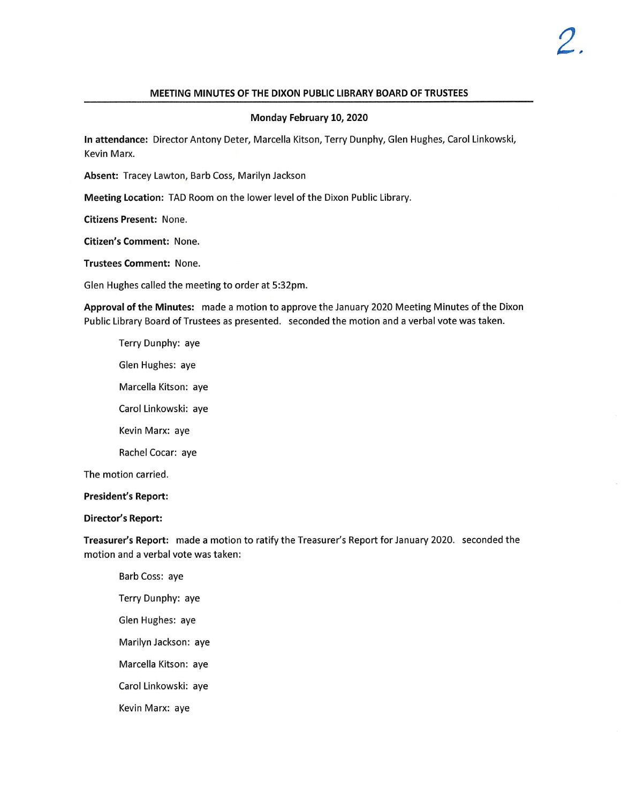# **MEETING MINUTES OF THE DIXON PUBLIC LIBRARY BOARD OF TRUSTEES**

#### **Monday February 10, 2020**

**In attendance:** Director Antony Deter, Marcella Kitson, Terry Dunphy, Glen Hughes, Carol Linkowski, Kevin Marx.

**Absent:** Tracey Lawton, Barb Coss, Marilyn Jackson

**Meeting Location:** TAD Room on the lower level of the Dixon Public Library.

**Citizens Present:** None.

**Citizen's Comment:** None.

**Trustees Comment:** None.

Glen Hughes called the meeting to order at 5:32pm.

**Approval of the Minutes:** made a motion to approve the January 2020 Meeting Minutes of the Dixon Public Library Board of Trustees as presented. seconded the motion and a verbal vote was taken.

Terry Dunphy: aye Glen Hughes: aye Marcella Kitson: aye Carol Linkowski: aye Kevin Marx: aye Rachel Cocar: aye The motion carried.

## **President's Report:**

#### **Director's Report:**

**Treasurer's Report:** made a motion to ratify the Treasurer's Report for January 2020. seconded the motion and a verbal vote was taken:

Barb Coss: aye Terry Dunphy: aye Glen Hughes: aye Marilyn Jackson: aye Marcella Kitson: aye Carol Linkowski: aye Kevin Marx: aye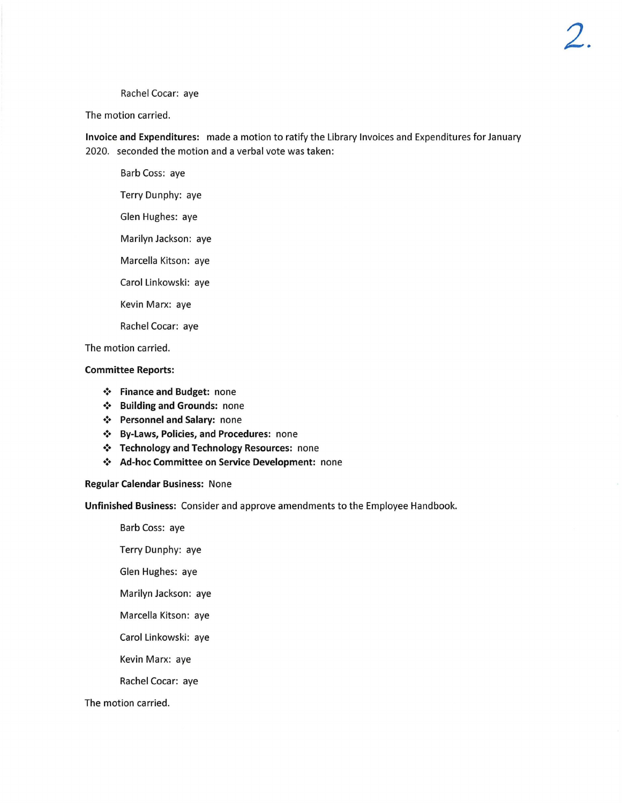Rachel Cocar: aye

The motion carried.

**Invoice and Expenditures:** made a motion to ratify the Library Invoices and Expenditures for January 2020. seconded the motion and a verbal vote was taken:

Barb Coss: aye Terry Dunphy: aye Glen Hughes: aye Marilyn Jackson: aye Marcella Kitson: aye Carol Linkowski: aye Kevin Marx: aye

Rachel Cocar: aye

The motion carried.

## **Committee Reports:**

- **Finance and Budget:** none
- **Building and Grounds:** none
- **Personnel and Salary:** none
- **By-Laws, Policies, and Procedures:** none
- $\div$  Technology and Technology Resources: none
- **Ad-hoc Committee on Service Development:** none

### **Regular Calendar Business:** None

**Unfinished Business:** Consider and approve amendments to the Employee Handbook.

Barb Coss: aye

Terry Dunphy: aye

Glen Hughes: aye

Marilyn Jackson: aye

Marcella Kitson: aye

Carol Linkowski: aye

Kevin Marx: aye

Rachel Cocar: aye

The motion carried.